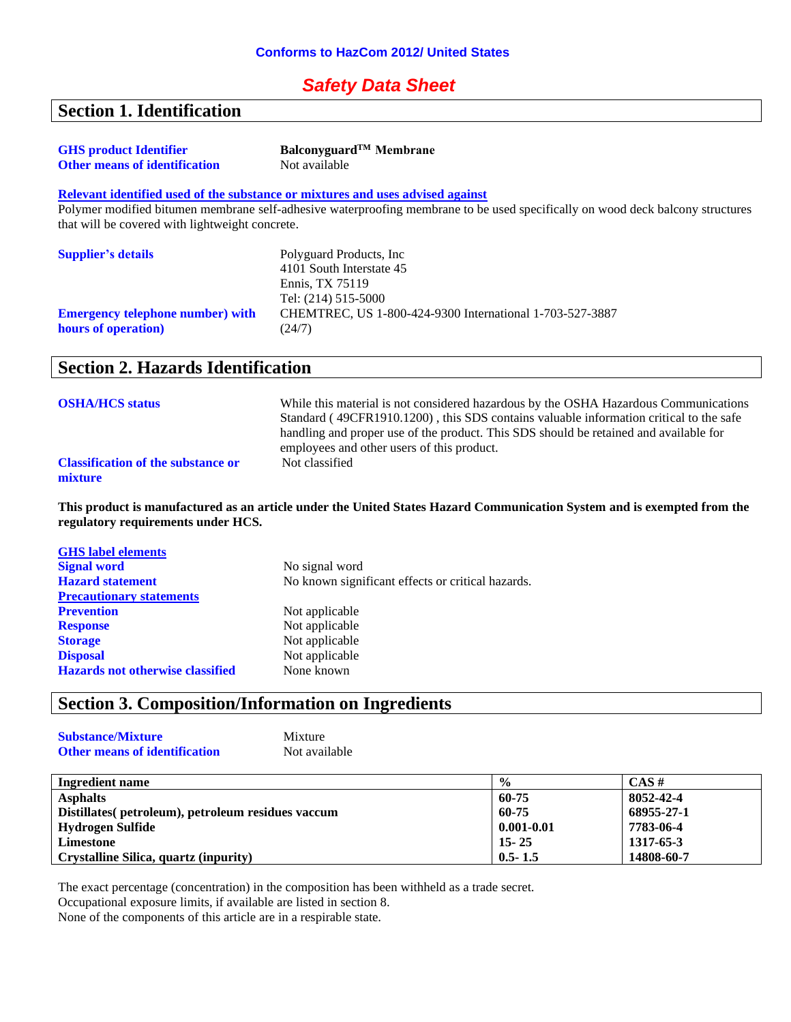# *Safety Data Sheet*

# **Section 1. Identification**

| <b>GHS</b> product Identifier        | Balconyguard <sup>TM</sup> Membrane |
|--------------------------------------|-------------------------------------|
| <b>Other means of identification</b> | Not available                       |

#### **Relevant identified used of the substance or mixtures and uses advised against**

Polymer modified bitumen membrane self-adhesive waterproofing membrane to be used specifically on wood deck balcony structures that will be covered with lightweight concrete.

| <b>Supplier's details</b>               | Polyguard Products, Inc.                                 |
|-----------------------------------------|----------------------------------------------------------|
|                                         | 4101 South Interstate 45                                 |
|                                         | Ennis. TX 75119                                          |
|                                         | Tel: (214) 515-5000                                      |
| <b>Emergency telephone number)</b> with | CHEMTREC, US 1-800-424-9300 International 1-703-527-3887 |
| hours of operation)                     | (24/7)                                                   |

# **Section 2. Hazards Identification**

| <b>OSHA/HCS status</b>                               | While this material is not considered hazardous by the OSHA Hazardous Communications<br>Standard (49CFR1910.1200), this SDS contains valuable information critical to the safe<br>handling and proper use of the product. This SDS should be retained and available for<br>employees and other users of this product. |
|------------------------------------------------------|-----------------------------------------------------------------------------------------------------------------------------------------------------------------------------------------------------------------------------------------------------------------------------------------------------------------------|
| <b>Classification of the substance or</b><br>mixture | Not classified                                                                                                                                                                                                                                                                                                        |

**This product is manufactured as an article under the United States Hazard Communication System and is exempted from the regulatory requirements under HCS.**

| No signal word                                    |
|---------------------------------------------------|
| No known significant effects or critical hazards. |
|                                                   |
| Not applicable                                    |
| Not applicable                                    |
| Not applicable                                    |
| Not applicable                                    |
| None known                                        |
|                                                   |

# **Section 3. Composition/Information on Ingredients**

| <b>Substance/Mixture</b>             | Mixture       |
|--------------------------------------|---------------|
| <b>Other means of identification</b> | Not available |

| Ingredient name                                    | $\frac{0}{0}$  | $CAS \#$   |
|----------------------------------------------------|----------------|------------|
| <b>Asphalts</b>                                    | 60-75          | 8052-42-4  |
| Distillates (petroleum), petroleum residues vaccum | 60-75          | 68955-27-1 |
| Hydrogen Sulfide                                   | $0.001 - 0.01$ | 7783-06-4  |
| Limestone                                          | $15 - 25$      | 1317-65-3  |
| Crystalline Silica, quartz (inpurity)              | $0.5 - 1.5$    | 14808-60-7 |

The exact percentage (concentration) in the composition has been withheld as a trade secret.

Occupational exposure limits, if available are listed in section 8.

None of the components of this article are in a respirable state.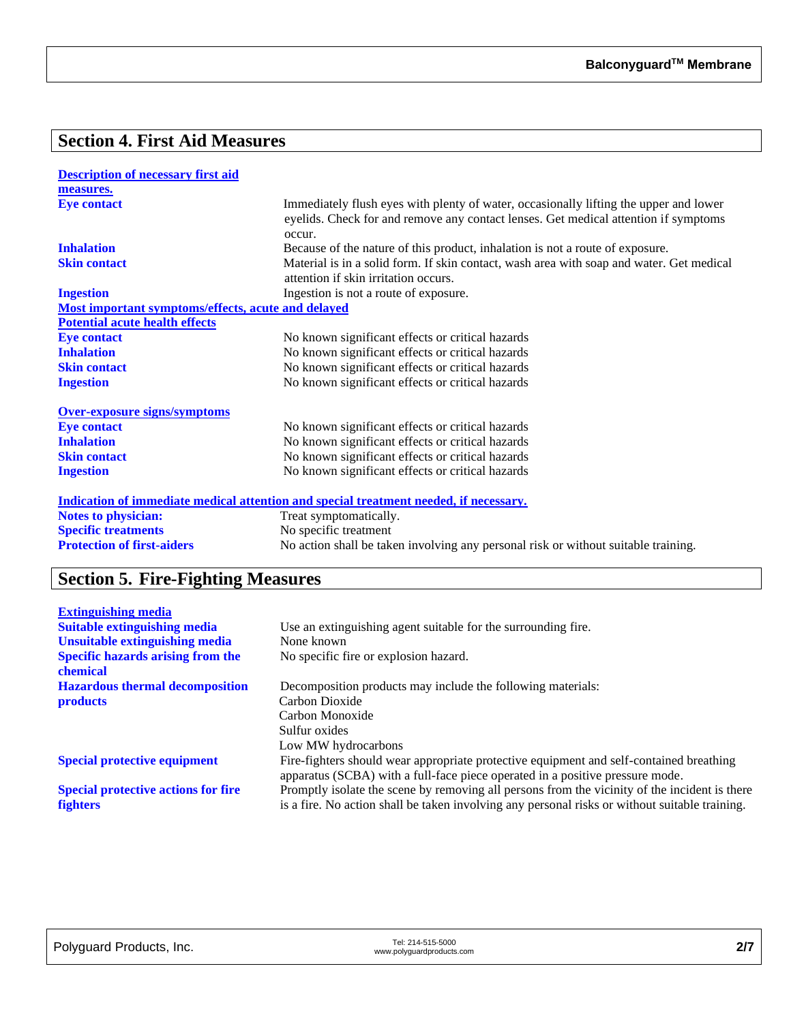# **Section 4. First Aid Measures**

| <b>Description of necessary first aid</b>          |                                                                                                                                                                                        |
|----------------------------------------------------|----------------------------------------------------------------------------------------------------------------------------------------------------------------------------------------|
| measures.                                          |                                                                                                                                                                                        |
| <b>Eye contact</b>                                 | Immediately flush eyes with plenty of water, occasionally lifting the upper and lower<br>eyelids. Check for and remove any contact lenses. Get medical attention if symptoms<br>occur. |
| <b>Inhalation</b>                                  | Because of the nature of this product, inhalation is not a route of exposure.                                                                                                          |
| <b>Skin contact</b>                                | Material is in a solid form. If skin contact, wash area with soap and water. Get medical<br>attention if skin irritation occurs.                                                       |
| <b>Ingestion</b>                                   | Ingestion is not a route of exposure.                                                                                                                                                  |
| Most important symptoms/effects, acute and delayed |                                                                                                                                                                                        |
| <b>Potential acute health effects</b>              |                                                                                                                                                                                        |
| <b>Eye contact</b>                                 | No known significant effects or critical hazards                                                                                                                                       |
| <b>Inhalation</b>                                  | No known significant effects or critical hazards                                                                                                                                       |
| <b>Skin contact</b>                                | No known significant effects or critical hazards                                                                                                                                       |
| <b>Ingestion</b>                                   | No known significant effects or critical hazards                                                                                                                                       |
| <b>Over-exposure signs/symptoms</b>                |                                                                                                                                                                                        |
| <b>Eye contact</b>                                 | No known significant effects or critical hazards                                                                                                                                       |
| <b>Inhalation</b>                                  | No known significant effects or critical hazards                                                                                                                                       |
| <b>Skin contact</b>                                | No known significant effects or critical hazards                                                                                                                                       |
| <b>Ingestion</b>                                   | No known significant effects or critical hazards                                                                                                                                       |
|                                                    | <u>Indication of immediate medical attention and special treatment needed, if necessary.</u>                                                                                           |
| <b>Notes to physician:</b>                         | Treat symptomatically.                                                                                                                                                                 |
| <b>Specific treatments</b>                         | No specific treatment                                                                                                                                                                  |
| <b>Protection of first-aiders</b>                  | No action shall be taken involving any personal risk or without suitable training.                                                                                                     |

# **Section 5. Fire-Fighting Measures**

| <b>Extinguishing media</b>                           |                                                                                                |
|------------------------------------------------------|------------------------------------------------------------------------------------------------|
| <b>Suitable extinguishing media</b>                  | Use an extinguishing agent suitable for the surrounding fire.                                  |
| <b>Unsuitable extinguishing media</b>                | None known                                                                                     |
| <b>Specific hazards arising from the</b><br>chemical | No specific fire or explosion hazard.                                                          |
| <b>Hazardous thermal decomposition</b>               | Decomposition products may include the following materials:                                    |
| <b>products</b>                                      | Carbon Dioxide                                                                                 |
|                                                      | Carbon Monoxide                                                                                |
|                                                      | Sulfur oxides                                                                                  |
|                                                      | Low MW hydrocarbons                                                                            |
| <b>Special protective equipment</b>                  | Fire-fighters should wear appropriate protective equipment and self-contained breathing        |
|                                                      | apparatus (SCBA) with a full-face piece operated in a positive pressure mode.                  |
| <b>Special protective actions for fire</b>           | Promptly isolate the scene by removing all persons from the vicinity of the incident is there  |
| <b>fighters</b>                                      | is a fire. No action shall be taken involving any personal risks or without suitable training. |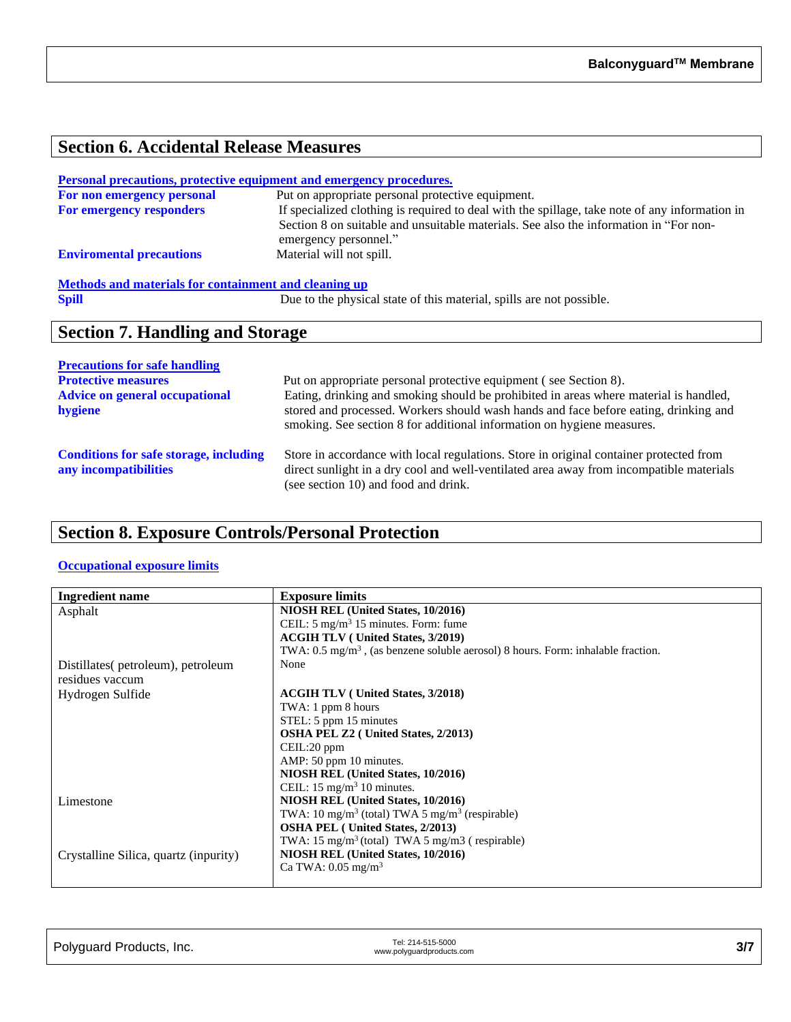# **Section 6. Accidental Release Measures**

## **Personal precautions, protective equipment and emergency procedures.**

| For non emergency personal      | Put on appropriate personal protective equipment.                                              |
|---------------------------------|------------------------------------------------------------------------------------------------|
| <b>For emergency responders</b> | If specialized clothing is required to deal with the spillage, take note of any information in |
|                                 | Section 8 on suitable and unsuitable materials. See also the information in "For non-          |
|                                 | emergency personnel."                                                                          |
| <b>Enviromental precautions</b> | Material will not spill.                                                                       |

# **Methods and materials for containment and cleaning up**<br>Spill Due to the physics

Due to the physical state of this material, spills are not possible.

# **Section 7. Handling and Storage**

| <b>Precautions for safe handling</b>                                   |                                                                                                                                                                                                                                                         |
|------------------------------------------------------------------------|---------------------------------------------------------------------------------------------------------------------------------------------------------------------------------------------------------------------------------------------------------|
| <b>Protective measures</b>                                             | Put on appropriate personal protective equipment (see Section 8).                                                                                                                                                                                       |
| <b>Advice on general occupational</b><br>hygiene                       | Eating, drinking and smoking should be prohibited in areas where material is handled,<br>stored and processed. Workers should wash hands and face before eating, drinking and<br>smoking. See section 8 for additional information on hygiene measures. |
| <b>Conditions for safe storage, including</b><br>any incompatibilities | Store in accordance with local regulations. Store in original container protected from<br>direct sunlight in a dry cool and well-ventilated area away from incompatible materials<br>(see section 10) and food and drink.                               |

# **Section 8. Exposure Controls/Personal Protection**

## **Occupational exposure limits**

| <b>Ingredient name</b>                | <b>Exposure limits</b>                                                                      |
|---------------------------------------|---------------------------------------------------------------------------------------------|
| Asphalt                               | NIOSH REL (United States, 10/2016)                                                          |
|                                       | CEIL: $5 \text{ mg/m}^3$ 15 minutes. Form: fume                                             |
|                                       | <b>ACGIH TLV</b> (United States, 3/2019)                                                    |
|                                       | TWA: $0.5 \text{ mg/m}^3$ , (as benzene soluble aerosol) 8 hours. Form: inhalable fraction. |
| Distillates(petroleum), petroleum     | None                                                                                        |
| residues vaccum                       |                                                                                             |
| Hydrogen Sulfide                      | <b>ACGIH TLV</b> (United States, 3/2018)                                                    |
|                                       | TWA: 1 ppm 8 hours                                                                          |
|                                       | STEL: 5 ppm 15 minutes                                                                      |
|                                       | <b>OSHA PEL Z2</b> ( United States, 2/2013)                                                 |
|                                       | CEIL:20 ppm                                                                                 |
|                                       | AMP: 50 ppm 10 minutes.                                                                     |
|                                       | NIOSH REL (United States, 10/2016)                                                          |
|                                       | CEIL: $15 \text{ mg/m}^3$ 10 minutes.                                                       |
| Limestone                             | NIOSH REL (United States, 10/2016)                                                          |
|                                       | TWA: $10 \text{ mg/m}^3$ (total) TWA 5 mg/m <sup>3</sup> (respirable)                       |
|                                       | <b>OSHA PEL</b> (United States, 2/2013)                                                     |
|                                       | TWA: $15 \text{ mg/m}^3$ (total) TWA 5 mg/m3 (respirable)                                   |
| Crystalline Silica, quartz (inpurity) | NIOSH REL (United States, 10/2016)                                                          |
|                                       | Ca TWA: $0.05 \text{ mg/m}^3$                                                               |
|                                       |                                                                                             |

| Polyguard Products, Inc. | Tel: 214-515-5000<br>www.polyguardproducts.com | 3/7 |
|--------------------------|------------------------------------------------|-----|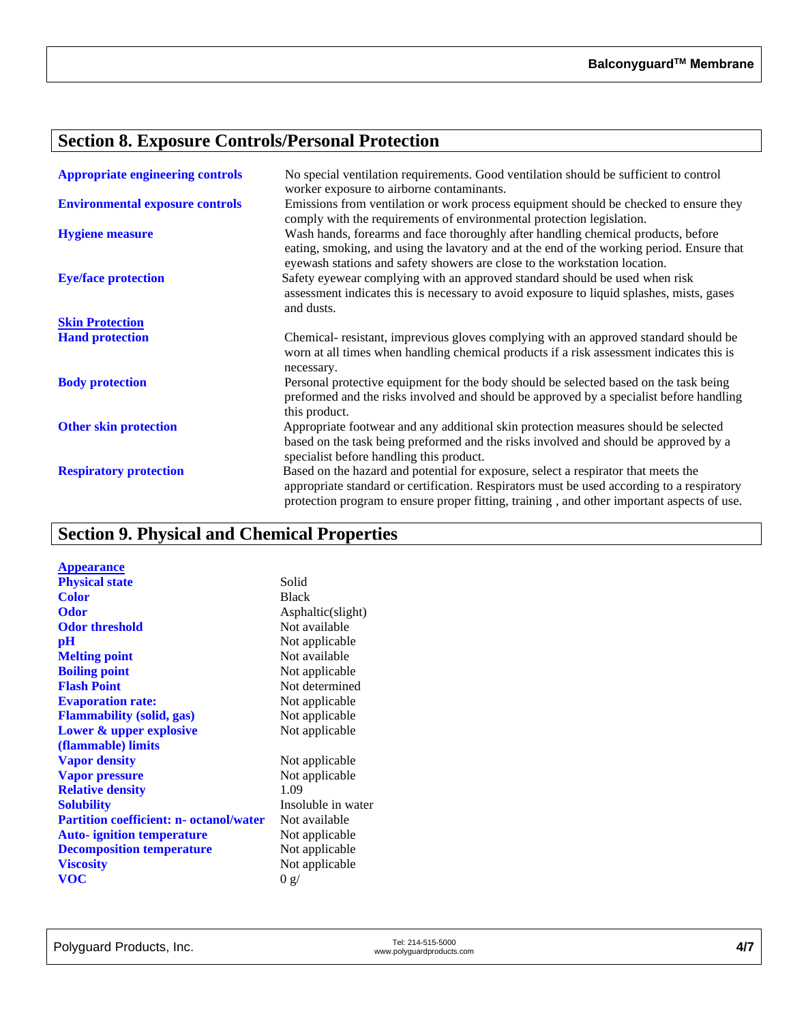# **Section 8. Exposure Controls/Personal Protection**

| <b>Appropriate engineering controls</b> | No special ventilation requirements. Good ventilation should be sufficient to control<br>worker exposure to airborne contaminants.                                                                                                                                             |
|-----------------------------------------|--------------------------------------------------------------------------------------------------------------------------------------------------------------------------------------------------------------------------------------------------------------------------------|
| <b>Environmental exposure controls</b>  | Emissions from ventilation or work process equipment should be checked to ensure they<br>comply with the requirements of environmental protection legislation.                                                                                                                 |
| <b>Hygiene measure</b>                  | Wash hands, forearms and face thoroughly after handling chemical products, before<br>eating, smoking, and using the lavatory and at the end of the working period. Ensure that<br>eyewash stations and safety showers are close to the workstation location.                   |
| <b>Eye/face protection</b>              | Safety eyewear complying with an approved standard should be used when risk<br>assessment indicates this is necessary to avoid exposure to liquid splashes, mists, gases<br>and dusts.                                                                                         |
| <b>Skin Protection</b>                  |                                                                                                                                                                                                                                                                                |
| <b>Hand protection</b>                  | Chemical-resistant, imprevious gloves complying with an approved standard should be<br>worn at all times when handling chemical products if a risk assessment indicates this is<br>necessary.                                                                                  |
| <b>Body protection</b>                  | Personal protective equipment for the body should be selected based on the task being<br>preformed and the risks involved and should be approved by a specialist before handling<br>this product.                                                                              |
| <b>Other skin protection</b>            | Appropriate footwear and any additional skin protection measures should be selected<br>based on the task being preformed and the risks involved and should be approved by a<br>specialist before handling this product.                                                        |
| <b>Respiratory protection</b>           | Based on the hazard and potential for exposure, select a respirator that meets the<br>appropriate standard or certification. Respirators must be used according to a respiratory<br>protection program to ensure proper fitting, training, and other important aspects of use. |

# **Section 9. Physical and Chemical Properties**

| <b>Appearance</b>                              |                    |
|------------------------------------------------|--------------------|
| <b>Physical state</b>                          | Solid              |
| Color                                          | <b>Black</b>       |
| Odor                                           | Asphaltic(slight)  |
| <b>Odor threshold</b>                          | Not available      |
| $\mathbf{p}$ H                                 | Not applicable     |
| <b>Melting point</b>                           | Not available      |
| <b>Boiling point</b>                           | Not applicable     |
| <b>Flash Point</b>                             | Not determined     |
| <b>Evaporation rate:</b>                       | Not applicable     |
| <b>Flammability (solid, gas)</b>               | Not applicable     |
| Lower & upper explosive                        | Not applicable     |
| (flammable) limits                             |                    |
| <b>Vapor density</b>                           | Not applicable     |
| <b>Vapor pressure</b>                          | Not applicable     |
| <b>Relative density</b>                        | 1.09               |
| <b>Solubility</b>                              | Insoluble in water |
| <b>Partition coefficient: n- octanol/water</b> | Not available      |
| <b>Auto-</b> ignition temperature              | Not applicable     |
| <b>Decomposition temperature</b>               | Not applicable     |
| <b>Viscosity</b>                               | Not applicable     |
| <b>VOC</b>                                     | 0 g/               |
|                                                |                    |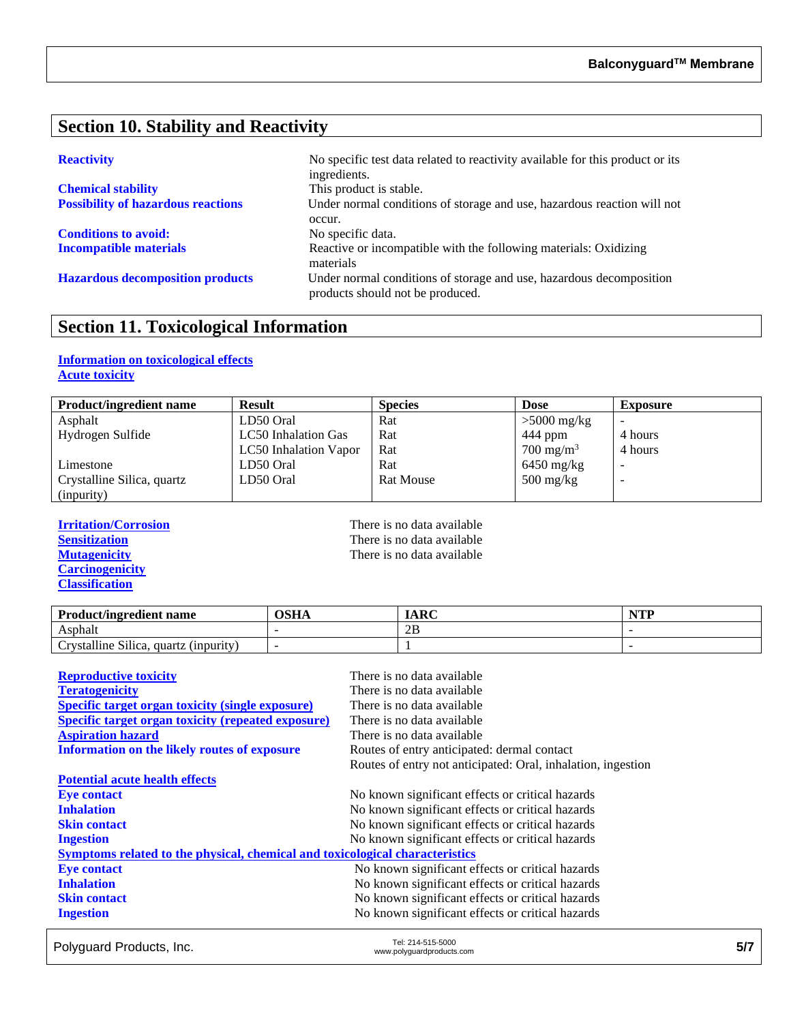# **Section 10. Stability and Reactivity**

| <b>Chemical stability</b>                 |  |  |  |
|-------------------------------------------|--|--|--|
| <b>Possibility of hazardous reactions</b> |  |  |  |

**Conditions to avoid:** No specific data.

**Reactivity** No specific test data related to reactivity available for this product or its ingredients. This product is stable. Under normal conditions of storage and use, hazardous reaction will not occur. **Incompatible materials** Reactive or incompatible with the following materials: Oxidizing materials **Hazardous decomposition products** Under normal conditions of storage and use, hazardous decomposition products should not be produced.

# **Section 11. Toxicological Information**

## **Information on toxicological effects Acute toxicity**

| <b>Product/ingredient name</b> | <b>Result</b>         | <b>Species</b>   | <b>Dose</b>                       | <b>Exposure</b> |
|--------------------------------|-----------------------|------------------|-----------------------------------|-----------------|
| Asphalt                        | LD50 Oral             | Rat              | $>5000$ mg/kg                     |                 |
| Hydrogen Sulfide               | LC50 Inhalation Gas   | Rat              | 444 ppm                           | 4 hours         |
|                                | LC50 Inhalation Vapor | Rat              | $700 \text{ mg/m}^3$              | 4 hours         |
| Limestone                      | LD50 Oral             | Rat              | $6450$ mg/kg                      |                 |
| Crystalline Silica, quartz     | LD50 Oral             | <b>Rat Mouse</b> | $500 \frac{\text{mg}}{\text{kg}}$ | -               |
| (inpurity)                     |                       |                  |                                   |                 |

**Carcinogenicity Classification**

**Irritation/Corrosion**<br> **IFREP SERVIER SERVIER SERVIER SERVIER SERVIER SERVIER SERVIER SERVIER SERVIER SERVIER SERVIER SERVIER SERVIER SERVIER SERVIER SERVIER SERVIER SERVIER SERVIER SERVIER SERVIER SERVIER SERVIER SERVIER Sensitization**<br> **Sensitization**<br> **Mutagenicity**<br> **CO**<br> **CO**<br> **CO**<br> **CO**<br> **CO**<br> **CO**<br> **CO**<br> **CO**<br> **CO**<br> **CO**<br> **CO**<br> **CO**<br> **CO**<br> **CO**<br> **CO**<br> **CO**<br> **CO**<br> **CO**<br> **CO**<br> **CO**<br> **CO**<br> **CO**<br> **CO**<br> **CO**<br> **CO**<br> **CO**<br> **CO**<br> **CO**<br> **CO** There is no data available

| <b>Product/ingredient name</b>                                             | OSHA | <b>IARC</b> | $\blacksquare$ |
|----------------------------------------------------------------------------|------|-------------|----------------|
| Asphalt                                                                    |      | 2B          |                |
| $\sim \cdot \cdot \cdot$<br>11.<br>rvstalline Silica.<br>quartz (inpurity) |      |             |                |

| <b>Reproductive toxicity</b>                                                 | There is no data available                                   |
|------------------------------------------------------------------------------|--------------------------------------------------------------|
| <b>Teratogenicity</b>                                                        | There is no data available                                   |
| <b>Specific target organ toxicity (single exposure)</b>                      | There is no data available                                   |
| <b>Specific target organ toxicity (repeated exposure)</b>                    | There is no data available                                   |
| <b>Aspiration hazard</b>                                                     | There is no data available                                   |
| Information on the likely routes of exposure                                 | Routes of entry anticipated: dermal contact                  |
|                                                                              | Routes of entry not anticipated: Oral, inhalation, ingestion |
| <b>Potential acute health effects</b>                                        |                                                              |
| <b>Eye contact</b>                                                           | No known significant effects or critical hazards             |
| <b>Inhalation</b>                                                            | No known significant effects or critical hazards             |
| <b>Skin contact</b>                                                          | No known significant effects or critical hazards             |
| <b>Ingestion</b>                                                             | No known significant effects or critical hazards             |
| Symptoms related to the physical, chemical and toxicological characteristics |                                                              |
| <b>Eye contact</b>                                                           | No known significant effects or critical hazards             |
| <b>Inhalation</b>                                                            | No known significant effects or critical hazards             |
| <b>Skin contact</b>                                                          | No known significant effects or critical hazards             |
| <b>Ingestion</b>                                                             | No known significant effects or critical hazards             |

Polyguard Products, Inc. Tel: 214-515-5000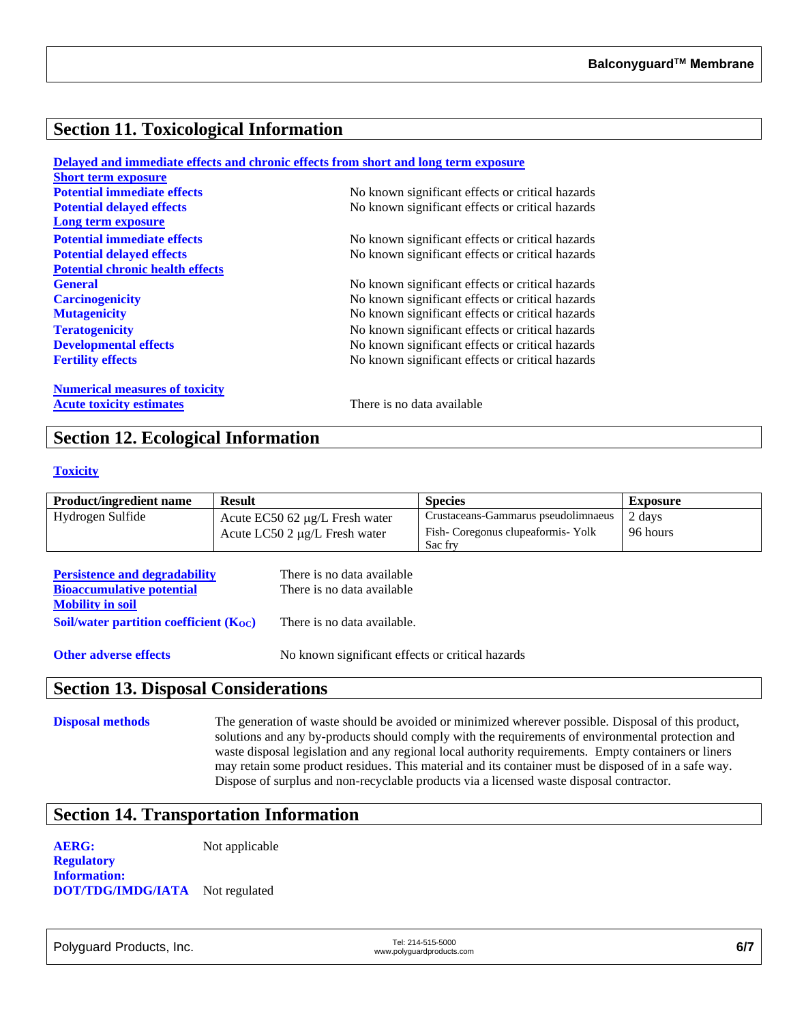# **Section 11. Toxicological Information**

|                                         | Delayed and immediate effects and chronic effects from short and long term exposure |
|-----------------------------------------|-------------------------------------------------------------------------------------|
| <b>Short term exposure</b>              |                                                                                     |
| <b>Potential immediate effects</b>      | No known significant effects or critical hazards                                    |
| <b>Potential delayed effects</b>        | No known significant effects or critical hazards                                    |
| Long term exposure                      |                                                                                     |
| <b>Potential immediate effects</b>      | No known significant effects or critical hazards                                    |
| <b>Potential delayed effects</b>        | No known significant effects or critical hazards                                    |
| <b>Potential chronic health effects</b> |                                                                                     |
| <b>General</b>                          | No known significant effects or critical hazards                                    |
| <b>Carcinogenicity</b>                  | No known significant effects or critical hazards                                    |
| <b>Mutagenicity</b>                     | No known significant effects or critical hazards                                    |
| <b>Teratogenicity</b>                   | No known significant effects or critical hazards                                    |
| <b>Developmental effects</b>            | No known significant effects or critical hazards                                    |
| <b>Fertility effects</b>                | No known significant effects or critical hazards                                    |
| <b>Numerical measures of toxicity</b>   |                                                                                     |
| <b>Acute toxicity estimates</b>         | There is no data available                                                          |

# **Section 12. Ecological Information**

#### **Toxicity**

| <b>Product/ingredient name</b> | <b>Result</b>                         | <b>Species</b>                      | Exposure |
|--------------------------------|---------------------------------------|-------------------------------------|----------|
| Hydrogen Sulfide               | Acute $EC50$ 62 $\mu$ g/L Fresh water | Crustaceans-Gammarus pseudolimnaeus | 2 days   |
|                                | Acute LC50 2 $\mu$ g/L Fresh water    | Fish-Coregonus clupeaformis-Yolk    | 96 hours |
|                                |                                       | Sac fry                             |          |

| <b>Persistence and degradability</b>        | There is no data available  |
|---------------------------------------------|-----------------------------|
| <b>Bioaccumulative potential</b>            | There is no data available  |
| <b>Mobility in soil</b>                     |                             |
| Soil/water partition coefficient $(K_{OC})$ | There is no data available. |
|                                             |                             |

**Other adverse effects** No known significant effects or critical hazards

## **Section 13. Disposal Considerations**

**Disposal methods** The generation of waste should be avoided or minimized wherever possible. Disposal of this product, solutions and any by-products should comply with the requirements of environmental protection and waste disposal legislation and any regional local authority requirements. Empty containers or liners may retain some product residues. This material and its container must be disposed of in a safe way. Dispose of surplus and non-recyclable products via a licensed waste disposal contractor.

# **Section 14. Transportation Information**

**AERG:** Not applicable

**Regulatory Information: DOT/TDG/IMDG/IATA** Not regulated

Polyguard Products, Inc. Tel: 214-515-5000